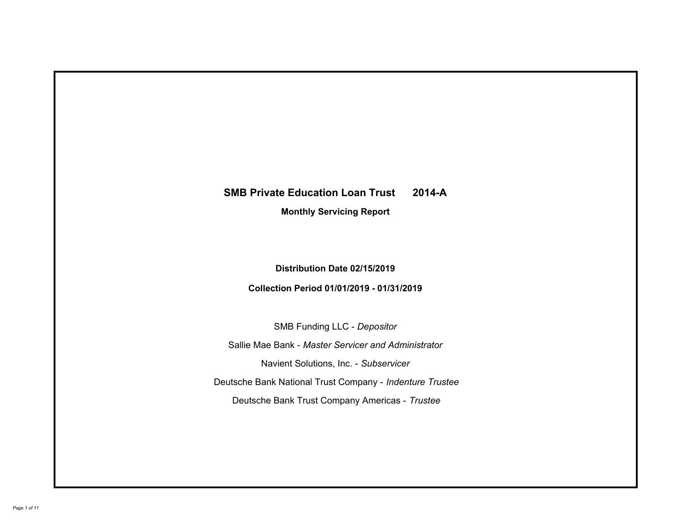# **SMB Private Education Loan Trust 2014-A Monthly Servicing Report**

# **Distribution Date 02/15/2019**

# **Collection Period 01/01/2019 - 01/31/2019**

SMB Funding LLC - *Depositor*

Sallie Mae Bank - *Master Servicer and Administrator*

Navient Solutions, Inc. - *Subservicer*

Deutsche Bank National Trust Company - *Indenture Trustee*

Deutsche Bank Trust Company Americas - *Trustee*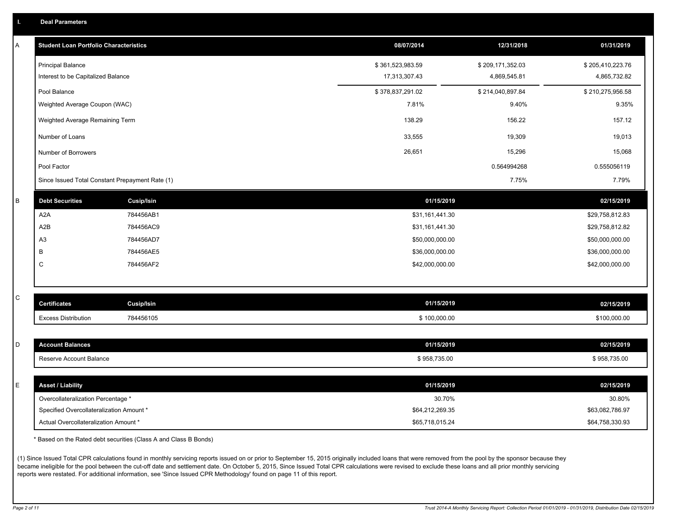|  | <b>Deal Parameters</b> |  |
|--|------------------------|--|
|  |                        |  |

| A | <b>Student Loan Portfolio Characteristics</b>   |                   | 08/07/2014       | 12/31/2018       | 01/31/2019       |
|---|-------------------------------------------------|-------------------|------------------|------------------|------------------|
|   | <b>Principal Balance</b>                        |                   | \$361,523,983.59 | \$209,171,352.03 | \$205,410,223.76 |
|   | Interest to be Capitalized Balance              |                   | 17,313,307.43    | 4,869,545.81     | 4,865,732.82     |
|   | Pool Balance                                    |                   | \$378,837,291.02 | \$214,040,897.84 | \$210,275,956.58 |
|   | Weighted Average Coupon (WAC)                   |                   | 7.81%            | 9.40%            | 9.35%            |
|   | Weighted Average Remaining Term                 |                   | 138.29           | 156.22           | 157.12           |
|   | Number of Loans                                 |                   | 33,555           | 19,309           | 19,013           |
|   | Number of Borrowers                             |                   | 26,651           | 15,296           | 15,068           |
|   | Pool Factor                                     |                   |                  | 0.564994268      | 0.555056119      |
|   | Since Issued Total Constant Prepayment Rate (1) |                   |                  | 7.75%            | 7.79%            |
| B | <b>Debt Securities</b>                          | <b>Cusip/Isin</b> | 01/15/2019       |                  | 02/15/2019       |
|   | A <sub>2</sub> A                                | 784456AB1         | \$31,161,441.30  |                  | \$29,758,812.83  |
|   | A2B                                             | 784456AC9         | \$31,161,441.30  |                  | \$29,758,812.82  |
|   | A <sub>3</sub>                                  | 784456AD7         | \$50,000,000.00  |                  | \$50,000,000.00  |
|   | B                                               | 784456AE5         | \$36,000,000.00  |                  | \$36,000,000.00  |
|   | C                                               | 784456AF2         | \$42,000,000.00  |                  | \$42,000,000.00  |
|   |                                                 |                   |                  |                  |                  |
| С | <b>Certificates</b>                             | Cusip/Isin        | 01/15/2019       |                  | 02/15/2019       |
|   | <b>Excess Distribution</b>                      | 784456105         | \$100,000.00     |                  | \$100,000.00     |
|   |                                                 |                   |                  |                  |                  |
| D | <b>Account Balances</b>                         |                   | 01/15/2019       |                  | 02/15/2019       |
|   | Reserve Account Balance                         |                   | \$958,735.00     |                  | \$958,735.00     |
| E | <b>Asset / Liability</b>                        |                   | 01/15/2019       |                  | 02/15/2019       |
|   | Overcollateralization Percentage *              |                   | 30.70%           |                  | 30.80%           |
|   | Specified Overcollateralization Amount *        |                   | \$64,212,269.35  |                  | \$63,082,786.97  |
|   | Actual Overcollateralization Amount *           |                   | \$65,718,015.24  |                  | \$64,758,330.93  |

\* Based on the Rated debt securities (Class A and Class B Bonds)

(1) Since Issued Total CPR calculations found in monthly servicing reports issued on or prior to September 15, 2015 originally included loans that were removed from the pool by the sponsor because they became ineligible for the pool between the cut-off date and settlement date. On October 5, 2015, Since Issued Total CPR calculations were revised to exclude these loans and all prior monthly servicing reports were restated. For additional information, see 'Since Issued CPR Methodology' found on page 11 of this report.

*Page 2 of 11 Trust 2014-A Monthly Servicing Report: Collection Period 01/01/2019 - 01/31/2019, Distribution Date 02/15/2019*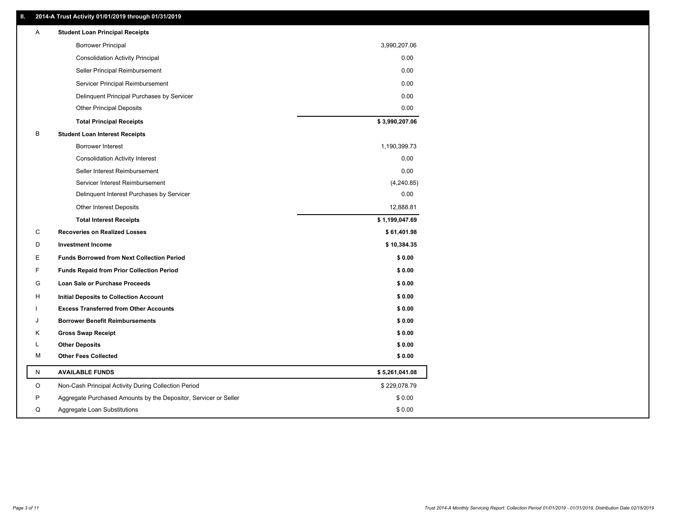### **II. 2014-A Trust Activity 01/01/2019 through 01/31/2019**

| Α | <b>Student Loan Principal Receipts</b>                           |                |
|---|------------------------------------------------------------------|----------------|
|   | <b>Borrower Principal</b>                                        | 3,990,207.06   |
|   | <b>Consolidation Activity Principal</b>                          | 0.00           |
|   | Seller Principal Reimbursement                                   | 0.00           |
|   | Servicer Principal Reimbursement                                 | 0.00           |
|   | Delinquent Principal Purchases by Servicer                       | 0.00           |
|   | <b>Other Principal Deposits</b>                                  | 0.00           |
|   | <b>Total Principal Receipts</b>                                  | \$3,990,207.06 |
| В | <b>Student Loan Interest Receipts</b>                            |                |
|   | Borrower Interest                                                | 1,190,399.73   |
|   | <b>Consolidation Activity Interest</b>                           | 0.00           |
|   | Seller Interest Reimbursement                                    | 0.00           |
|   | Servicer Interest Reimbursement                                  | (4,240.85)     |
|   | Delinquent Interest Purchases by Servicer                        | 0.00           |
|   | <b>Other Interest Deposits</b>                                   | 12,888.81      |
|   | <b>Total Interest Receipts</b>                                   | \$1,199,047.69 |
| С | <b>Recoveries on Realized Losses</b>                             | \$61,401.98    |
| D | <b>Investment Income</b>                                         | \$10,384.35    |
| E | <b>Funds Borrowed from Next Collection Period</b>                | \$0.00         |
| F | <b>Funds Repaid from Prior Collection Period</b>                 | \$0.00         |
| G | Loan Sale or Purchase Proceeds                                   | \$0.00         |
| н | <b>Initial Deposits to Collection Account</b>                    | \$0.00         |
|   | <b>Excess Transferred from Other Accounts</b>                    | \$0.00         |
| J | <b>Borrower Benefit Reimbursements</b>                           | \$0.00         |
| Κ | <b>Gross Swap Receipt</b>                                        | \$0.00         |
| L | <b>Other Deposits</b>                                            | \$0.00         |
| M | <b>Other Fees Collected</b>                                      | \$0.00         |
| N | <b>AVAILABLE FUNDS</b>                                           | \$5,261,041.08 |
| O | Non-Cash Principal Activity During Collection Period             | \$229,078.79   |
| P | Aggregate Purchased Amounts by the Depositor, Servicer or Seller | \$0.00         |
| Q | Aggregate Loan Substitutions                                     | \$0.00         |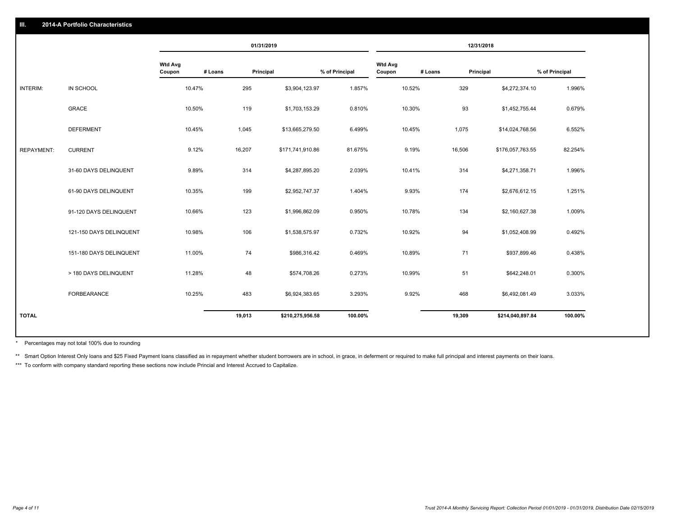|                   |                         |                   |         | 01/31/2019       |                |                          |         | 12/31/2018       |                |
|-------------------|-------------------------|-------------------|---------|------------------|----------------|--------------------------|---------|------------------|----------------|
|                   |                         | Wtd Avg<br>Coupon | # Loans | Principal        | % of Principal | <b>Wtd Avg</b><br>Coupon | # Loans | Principal        | % of Principal |
| INTERIM:          | IN SCHOOL               | 10.47%            | 295     | \$3,904,123.97   | 1.857%         | 10.52%                   | 329     | \$4,272,374.10   | 1.996%         |
|                   | <b>GRACE</b>            | 10.50%            | 119     | \$1,703,153.29   | 0.810%         | 10.30%                   | 93      | \$1,452,755.44   | 0.679%         |
|                   | <b>DEFERMENT</b>        | 10.45%            | 1,045   | \$13,665,279.50  | 6.499%         | 10.45%                   | 1,075   | \$14,024,768.56  | 6.552%         |
| <b>REPAYMENT:</b> | <b>CURRENT</b>          | 9.12%             | 16,207  | \$171,741,910.86 | 81.675%        | 9.19%                    | 16,506  | \$176,057,763.55 | 82.254%        |
|                   | 31-60 DAYS DELINQUENT   | 9.89%             | 314     | \$4,287,895.20   | 2.039%         | 10.41%                   | 314     | \$4,271,358.71   | 1.996%         |
|                   | 61-90 DAYS DELINQUENT   | 10.35%            | 199     | \$2,952,747.37   | 1.404%         | 9.93%                    | 174     | \$2,676,612.15   | 1.251%         |
|                   | 91-120 DAYS DELINQUENT  | 10.66%            | 123     | \$1,996,862.09   | 0.950%         | 10.78%                   | 134     | \$2,160,627.38   | 1.009%         |
|                   | 121-150 DAYS DELINQUENT | 10.98%            | 106     | \$1,538,575.97   | 0.732%         | 10.92%                   | 94      | \$1,052,408.99   | 0.492%         |
|                   | 151-180 DAYS DELINQUENT | 11.00%            | 74      | \$986,316.42     | 0.469%         | 10.89%                   | 71      | \$937,899.46     | 0.438%         |
|                   | > 180 DAYS DELINQUENT   | 11.28%            | 48      | \$574,708.26     | 0.273%         | 10.99%                   | 51      | \$642,248.01     | 0.300%         |
|                   | <b>FORBEARANCE</b>      | 10.25%            | 483     | \$6,924,383.65   | 3.293%         | 9.92%                    | 468     | \$6,492,081.49   | 3.033%         |
| <b>TOTAL</b>      |                         |                   | 19,013  | \$210,275,956.58 | 100.00%        |                          | 19,309  | \$214,040,897.84 | 100.00%        |
|                   |                         |                   |         |                  |                |                          |         |                  |                |

Percentages may not total 100% due to rounding \*

\*\* Smart Option Interest Only loans and \$25 Fixed Payment loans classified as in repayment whether student borrowers are in school, in grace, in deferment or required to make full principal and interest payments on their l

\*\*\* To conform with company standard reporting these sections now include Princial and Interest Accrued to Capitalize.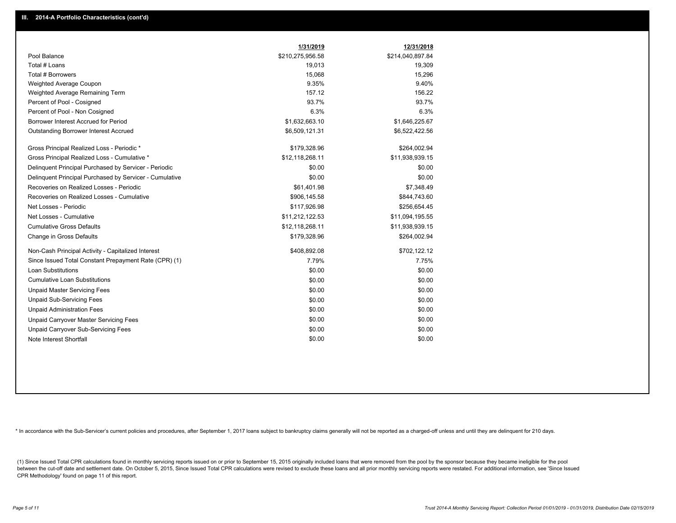|                                                         | 1/31/2019        | 12/31/2018       |
|---------------------------------------------------------|------------------|------------------|
| Pool Balance                                            | \$210,275,956.58 | \$214,040,897.84 |
| Total # Loans                                           | 19,013           | 19,309           |
| Total # Borrowers                                       | 15,068           | 15,296           |
| Weighted Average Coupon                                 | 9.35%            | 9.40%            |
| Weighted Average Remaining Term                         | 157.12           | 156.22           |
| Percent of Pool - Cosigned                              | 93.7%            | 93.7%            |
| Percent of Pool - Non Cosigned                          | 6.3%             | 6.3%             |
| Borrower Interest Accrued for Period                    | \$1,632,663.10   | \$1,646,225.67   |
| <b>Outstanding Borrower Interest Accrued</b>            | \$6,509,121.31   | \$6,522,422.56   |
| Gross Principal Realized Loss - Periodic *              | \$179,328.96     | \$264,002.94     |
| Gross Principal Realized Loss - Cumulative *            | \$12,118,268.11  | \$11,938,939.15  |
| Delinquent Principal Purchased by Servicer - Periodic   | \$0.00           | \$0.00           |
| Delinquent Principal Purchased by Servicer - Cumulative | \$0.00           | \$0.00           |
| Recoveries on Realized Losses - Periodic                | \$61,401.98      | \$7,348.49       |
| Recoveries on Realized Losses - Cumulative              | \$906,145.58     | \$844,743.60     |
| Net Losses - Periodic                                   | \$117,926.98     | \$256,654.45     |
| Net Losses - Cumulative                                 | \$11,212,122.53  | \$11,094,195.55  |
| <b>Cumulative Gross Defaults</b>                        | \$12,118,268.11  | \$11,938,939.15  |
| Change in Gross Defaults                                | \$179,328.96     | \$264,002.94     |
| Non-Cash Principal Activity - Capitalized Interest      | \$408,892.08     | \$702,122.12     |
| Since Issued Total Constant Prepayment Rate (CPR) (1)   | 7.79%            | 7.75%            |
| Loan Substitutions                                      | \$0.00           | \$0.00           |
| <b>Cumulative Loan Substitutions</b>                    | \$0.00           | \$0.00           |
| <b>Unpaid Master Servicing Fees</b>                     | \$0.00           | \$0.00           |
| <b>Unpaid Sub-Servicing Fees</b>                        | \$0.00           | \$0.00           |
| <b>Unpaid Administration Fees</b>                       | \$0.00           | \$0.00           |
| Unpaid Carryover Master Servicing Fees                  | \$0.00           | \$0.00           |
| Unpaid Carryover Sub-Servicing Fees                     | \$0.00           | \$0.00           |
| Note Interest Shortfall                                 | \$0.00           | \$0.00           |

\* In accordance with the Sub-Servicer's current policies and procedures, after September 1, 2017 loans subject to bankruptcy claims generally will not be reported as a charged-off unless and until they are delinquent for 2

(1) Since Issued Total CPR calculations found in monthly servicing reports issued on or prior to September 15, 2015 originally included loans that were removed from the pool by the sponsor because they became ineligible fo between the cut-off date and settlement date. On October 5, 2015, Since Issued Total CPR calculations were revised to exclude these loans and all prior monthly servicing reports were restated. For additional information, s CPR Methodology' found on page 11 of this report.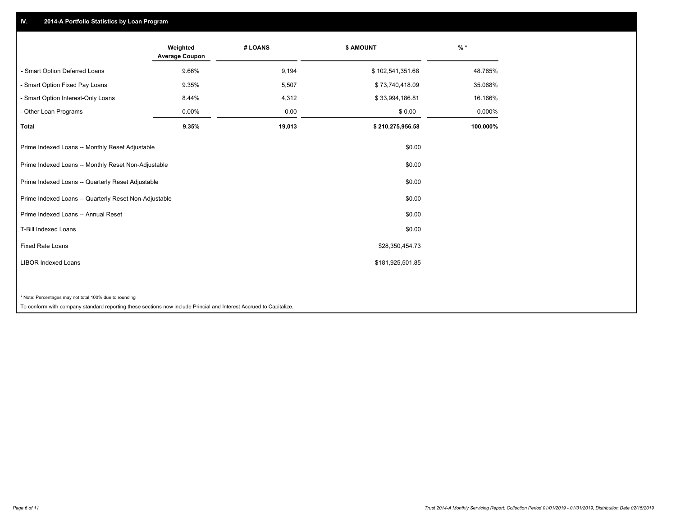## **IV. 2014-A Portfolio Statistics by Loan Program**

|                                                        | Weighted<br><b>Average Coupon</b> | # LOANS | \$ AMOUNT        | $\frac{9}{6}$ * |
|--------------------------------------------------------|-----------------------------------|---------|------------------|-----------------|
| - Smart Option Deferred Loans                          | 9.66%                             | 9,194   | \$102,541,351.68 | 48.765%         |
| - Smart Option Fixed Pay Loans                         | 9.35%                             | 5,507   | \$73,740,418.09  | 35.068%         |
| - Smart Option Interest-Only Loans                     | 8.44%                             | 4,312   | \$33,994,186.81  | 16.166%         |
| - Other Loan Programs                                  | 0.00%                             | 0.00    | \$0.00           | 0.000%          |
| <b>Total</b>                                           | 9.35%                             | 19,013  | \$210,275,956.58 | 100.000%        |
| Prime Indexed Loans -- Monthly Reset Adjustable        |                                   |         | \$0.00           |                 |
| Prime Indexed Loans -- Monthly Reset Non-Adjustable    |                                   |         | \$0.00           |                 |
| Prime Indexed Loans -- Quarterly Reset Adjustable      |                                   |         | \$0.00           |                 |
| Prime Indexed Loans -- Quarterly Reset Non-Adjustable  |                                   |         | \$0.00           |                 |
| Prime Indexed Loans -- Annual Reset                    |                                   |         | \$0.00           |                 |
| <b>T-Bill Indexed Loans</b>                            |                                   |         | \$0.00           |                 |
| <b>Fixed Rate Loans</b>                                |                                   |         | \$28,350,454.73  |                 |
| <b>LIBOR Indexed Loans</b>                             |                                   |         | \$181,925,501.85 |                 |
|                                                        |                                   |         |                  |                 |
| * Note: Percentages may not total 100% due to rounding |                                   |         |                  |                 |

To conform with company standard reporting these sections now include Princial and Interest Accrued to Capitalize.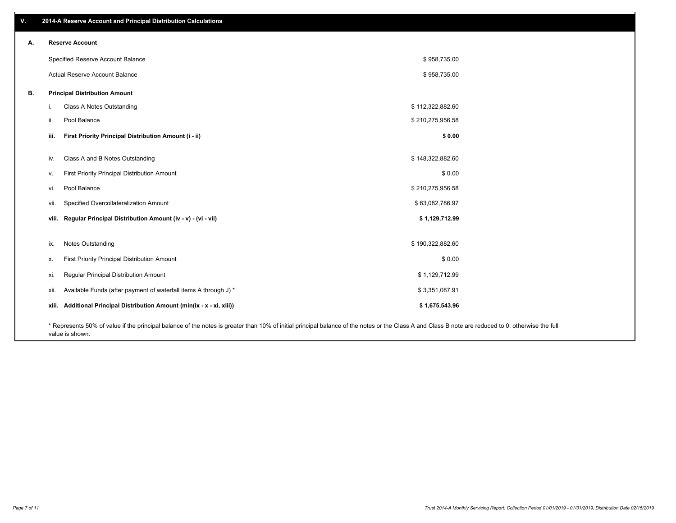| V. |                                      | 2014-A Reserve Account and Principal Distribution Calculations                                                                                                                                     |                  |  |
|----|--------------------------------------|----------------------------------------------------------------------------------------------------------------------------------------------------------------------------------------------------|------------------|--|
| А. | <b>Reserve Account</b>               |                                                                                                                                                                                                    |                  |  |
|    | Specified Reserve Account Balance    |                                                                                                                                                                                                    | \$958,735.00     |  |
|    | Actual Reserve Account Balance       |                                                                                                                                                                                                    | \$958,735.00     |  |
| В. | <b>Principal Distribution Amount</b> |                                                                                                                                                                                                    |                  |  |
|    | i.                                   | Class A Notes Outstanding                                                                                                                                                                          | \$112,322,882.60 |  |
|    | Pool Balance<br>ii.                  |                                                                                                                                                                                                    | \$210,275,956.58 |  |
|    | iii.                                 | First Priority Principal Distribution Amount (i - ii)                                                                                                                                              | \$0.00           |  |
|    | iv.                                  | Class A and B Notes Outstanding                                                                                                                                                                    | \$148,322,882.60 |  |
|    | v.                                   | First Priority Principal Distribution Amount                                                                                                                                                       | \$0.00           |  |
|    | Pool Balance<br>vi.                  |                                                                                                                                                                                                    | \$210,275,956.58 |  |
|    | vii.                                 | Specified Overcollateralization Amount                                                                                                                                                             | \$63,082,786.97  |  |
|    |                                      | viii. Regular Principal Distribution Amount (iv - v) - (vi - vii)                                                                                                                                  | \$1,129,712.99   |  |
|    |                                      |                                                                                                                                                                                                    |                  |  |
|    | Notes Outstanding<br>ix.             |                                                                                                                                                                                                    | \$190,322,882.60 |  |
|    | х.                                   | First Priority Principal Distribution Amount                                                                                                                                                       | \$0.00           |  |
|    | xi.                                  | Regular Principal Distribution Amount                                                                                                                                                              | \$1,129,712.99   |  |
|    | xii.                                 | Available Funds (after payment of waterfall items A through J) *                                                                                                                                   | \$3,351,087.91   |  |
|    |                                      | xiii. Additional Principal Distribution Amount (min(ix - x - xi, xiii))                                                                                                                            | \$1,675,543.96   |  |
|    |                                      | * Represents 50% of value if the principal balance of the notes is greater than 10% of initial principal balance of the notes or the Class A and Class B note are reduced to 0, otherwise the full |                  |  |

value is shown.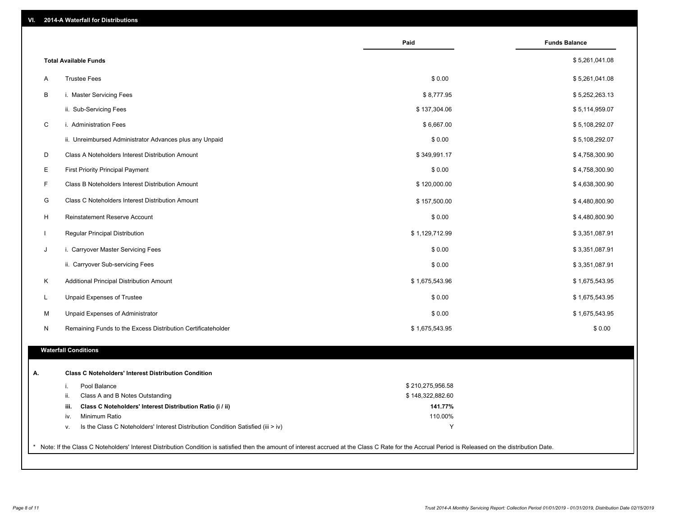| VI. |  | 2014-A Waterfall for Distributions |  |  |  |
|-----|--|------------------------------------|--|--|--|
|-----|--|------------------------------------|--|--|--|

|              |                                                                                           | Paid               | <b>Funds Balance</b> |
|--------------|-------------------------------------------------------------------------------------------|--------------------|----------------------|
|              | <b>Total Available Funds</b>                                                              |                    | \$5,261,041.08       |
| A            | <b>Trustee Fees</b>                                                                       | \$0.00             | \$5,261,041.08       |
| B            | i. Master Servicing Fees                                                                  | \$8,777.95         | \$5,252,263.13       |
|              | ii. Sub-Servicing Fees                                                                    | \$137,304.06       | \$5,114,959.07       |
| C            | i. Administration Fees                                                                    | \$6,667.00         | \$5,108,292.07       |
|              | ii. Unreimbursed Administrator Advances plus any Unpaid                                   | \$0.00             | \$5,108,292.07       |
| D            | Class A Noteholders Interest Distribution Amount                                          | \$349,991.17       | \$4,758,300.90       |
|              |                                                                                           |                    |                      |
| E            | <b>First Priority Principal Payment</b>                                                   | \$0.00             | \$4,758,300.90       |
| F            | Class B Noteholders Interest Distribution Amount                                          | \$120,000.00       | \$4,638,300.90       |
| G            | Class C Noteholders Interest Distribution Amount                                          | \$157,500.00       | \$4,480,800.90       |
| H            | Reinstatement Reserve Account                                                             | \$0.00             | \$4,480,800.90       |
| $\mathbf{I}$ | Regular Principal Distribution                                                            | \$1,129,712.99     | \$3,351,087.91       |
| J            | i. Carryover Master Servicing Fees                                                        | \$0.00             | \$3,351,087.91       |
|              | ii. Carryover Sub-servicing Fees                                                          | \$0.00             | \$3,351,087.91       |
| Κ            | Additional Principal Distribution Amount                                                  | \$1,675,543.96     | \$1,675,543.95       |
| L            | Unpaid Expenses of Trustee                                                                | \$0.00             | \$1,675,543.95       |
| М            | Unpaid Expenses of Administrator                                                          | \$0.00             | \$1,675,543.95       |
| N            | Remaining Funds to the Excess Distribution Certificateholder                              | \$1,675,543.95     | \$0.00               |
|              | <b>Waterfall Conditions</b>                                                               |                    |                      |
|              |                                                                                           |                    |                      |
|              | <b>Class C Noteholders' Interest Distribution Condition</b>                               |                    |                      |
|              | Pool Balance<br>i.                                                                        | \$210,275,956.58   |                      |
|              | ii.<br>Class A and B Notes Outstanding                                                    | \$148,322,882.60   |                      |
|              | Class C Noteholders' Interest Distribution Ratio (i / ii)<br>iii.<br>Minimum Ratio<br>iv. | 141.77%<br>110.00% |                      |
|              | Is the Class C Noteholders' Interest Distribution Condition Satisfied (iii > iv)<br>ν.    | Y                  |                      |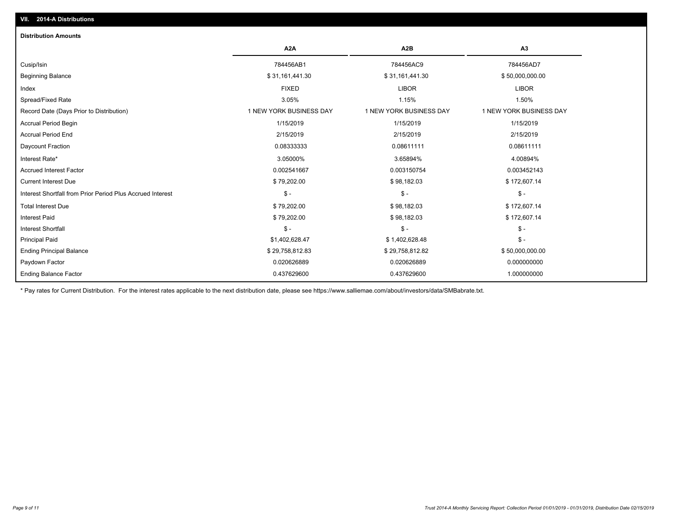| <b>Distribution Amounts</b>                                |                         |                         |                         |
|------------------------------------------------------------|-------------------------|-------------------------|-------------------------|
|                                                            | A <sub>2</sub> A        | A <sub>2</sub> B        | A <sub>3</sub>          |
| Cusip/Isin                                                 | 784456AB1               | 784456AC9               | 784456AD7               |
| <b>Beginning Balance</b>                                   | \$31,161,441.30         | \$31,161,441.30         | \$50,000,000.00         |
| Index                                                      | <b>FIXED</b>            | <b>LIBOR</b>            | <b>LIBOR</b>            |
| Spread/Fixed Rate                                          | 3.05%                   | 1.15%                   | 1.50%                   |
| Record Date (Days Prior to Distribution)                   | 1 NEW YORK BUSINESS DAY | 1 NEW YORK BUSINESS DAY | 1 NEW YORK BUSINESS DAY |
| <b>Accrual Period Begin</b>                                | 1/15/2019               | 1/15/2019               | 1/15/2019               |
| <b>Accrual Period End</b>                                  | 2/15/2019               | 2/15/2019               | 2/15/2019               |
| Daycount Fraction                                          | 0.08333333              | 0.08611111              | 0.08611111              |
| Interest Rate*                                             | 3.05000%                | 3.65894%                | 4.00894%                |
| <b>Accrued Interest Factor</b>                             | 0.002541667             | 0.003150754             | 0.003452143             |
| <b>Current Interest Due</b>                                | \$79,202.00             | \$98,182.03             | \$172,607.14            |
| Interest Shortfall from Prior Period Plus Accrued Interest | $\mathsf{\$}$ -         | $\mathsf{\$}$ -         | $\mathcal{S}$ -         |
| <b>Total Interest Due</b>                                  | \$79,202.00             | \$98,182.03             | \$172,607.14            |
| <b>Interest Paid</b>                                       | \$79,202.00             | \$98,182.03             | \$172,607.14            |
| Interest Shortfall                                         | $\frac{1}{2}$           | $\mathsf{\$}$ -         | $\mathcal{S}$ -         |
| <b>Principal Paid</b>                                      | \$1,402,628.47          | \$1,402,628.48          | $\mathsf{\$}$ -         |
| <b>Ending Principal Balance</b>                            | \$29,758,812.83         | \$29,758,812.82         | \$50,000,000.00         |
| Paydown Factor                                             | 0.020626889             | 0.020626889             | 0.000000000             |
| <b>Ending Balance Factor</b>                               | 0.437629600             | 0.437629600             | 1.000000000             |

\* Pay rates for Current Distribution. For the interest rates applicable to the next distribution date, please see https://www.salliemae.com/about/investors/data/SMBabrate.txt.

**VII. 2014-A Distributions**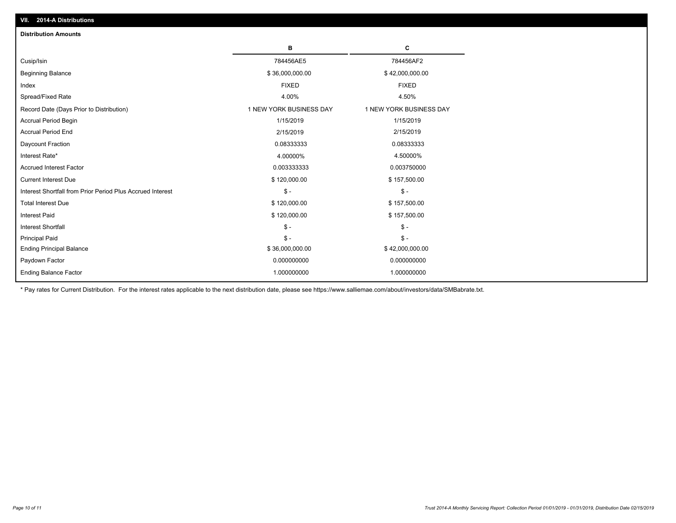| VII. 2014-A Distributions                                  |                         |                         |
|------------------------------------------------------------|-------------------------|-------------------------|
| <b>Distribution Amounts</b>                                |                         |                         |
|                                                            | в                       | C                       |
| Cusip/Isin                                                 | 784456AE5               | 784456AF2               |
| <b>Beginning Balance</b>                                   | \$36,000,000.00         | \$42,000,000.00         |
| Index                                                      | <b>FIXED</b>            | <b>FIXED</b>            |
| Spread/Fixed Rate                                          | 4.00%                   | 4.50%                   |
| Record Date (Days Prior to Distribution)                   | 1 NEW YORK BUSINESS DAY | 1 NEW YORK BUSINESS DAY |
| Accrual Period Begin                                       | 1/15/2019               | 1/15/2019               |
| <b>Accrual Period End</b>                                  | 2/15/2019               | 2/15/2019               |
| Daycount Fraction                                          | 0.08333333              | 0.08333333              |
| Interest Rate*                                             | 4.00000%                | 4.50000%                |
| <b>Accrued Interest Factor</b>                             | 0.003333333             | 0.003750000             |
| <b>Current Interest Due</b>                                | \$120,000.00            | \$157,500.00            |
| Interest Shortfall from Prior Period Plus Accrued Interest | $\mathsf{\$}$ -         | $\frac{1}{2}$           |
| <b>Total Interest Due</b>                                  | \$120,000.00            | \$157,500.00            |
| <b>Interest Paid</b>                                       | \$120,000.00            | \$157,500.00            |
| <b>Interest Shortfall</b>                                  | $\mathcal{S}$ -         | $\mathcal{S}$ -         |
| <b>Principal Paid</b>                                      | $\mathbb{S}$ -          | $$ -$                   |
| <b>Ending Principal Balance</b>                            | \$36,000,000.00         | \$42,000,000.00         |
| Paydown Factor                                             | 0.000000000             | 0.000000000             |
| <b>Ending Balance Factor</b>                               | 1.000000000             | 1.000000000             |

\* Pay rates for Current Distribution. For the interest rates applicable to the next distribution date, please see https://www.salliemae.com/about/investors/data/SMBabrate.txt.